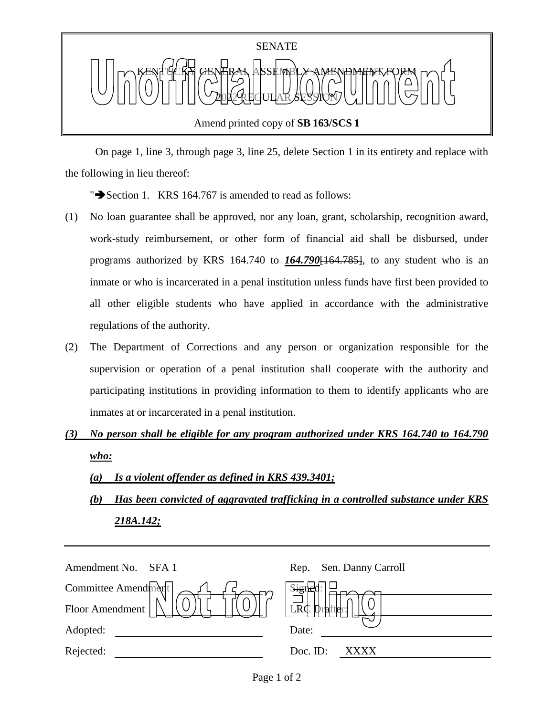

 On page 1, line 3, through page 3, line 25, delete Section 1 in its entirety and replace with the following in lieu thereof:

" $\rightarrow$  Section 1. KRS 164.767 is amended to read as follows:

- (1) No loan guarantee shall be approved, nor any loan, grant, scholarship, recognition award, work-study reimbursement, or other form of financial aid shall be disbursed, under programs authorized by KRS 164.740 to *164.790*[164.785], to any student who is an inmate or who is incarcerated in a penal institution unless funds have first been provided to all other eligible students who have applied in accordance with the administrative regulations of the authority.
- (2) The Department of Corrections and any person or organization responsible for the supervision or operation of a penal institution shall cooperate with the authority and participating institutions in providing information to them to identify applicants who are inmates at or incarcerated in a penal institution.
- *(3) No person shall be eligible for any program authorized under KRS 164.740 to 164.790 who:*
	- *(a) Is a violent offender as defined in KRS 439.3401;*
	- *(b) Has been convicted of aggravated trafficking in a controlled substance under KRS 218A.142;*

| Amendment No.<br>SFA 1 | Rep. Sen. Danny Carroll            |
|------------------------|------------------------------------|
| Committee Amendment    | signer                             |
| Floor Amendment        | $\mathbb{L}R\mathbb{C}$<br>Drafter |
| Adopted:               | Date:                              |
| Rejected:              | Doc. ID:<br>XXXX                   |
|                        |                                    |